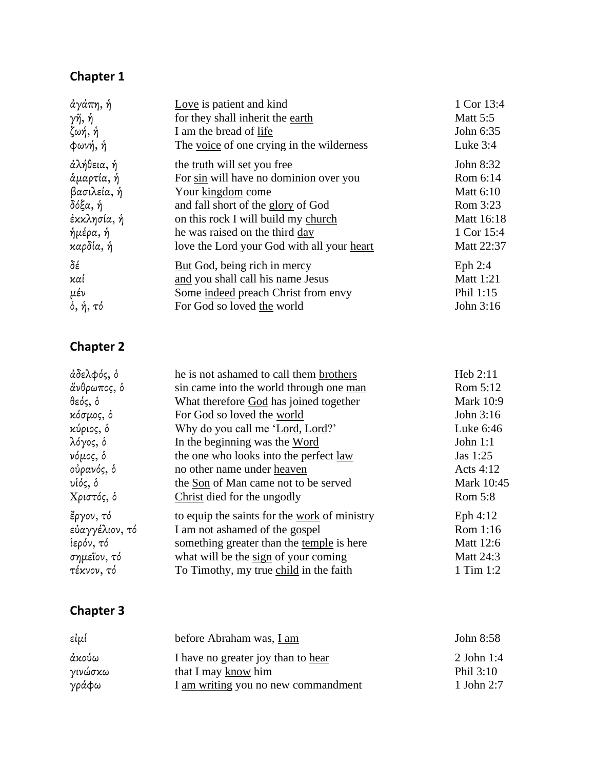| άγάπη, ή                     | Love is patient and kind                   | 1 Cor 13:4      |
|------------------------------|--------------------------------------------|-----------------|
| γῆ, ἡ                        | for they shall inherit the earth           | <b>Matt 5:5</b> |
| ζωή, ἡ                       | I am the bread of life                     | John 6:35       |
| φωνή, ή                      | The voice of one crying in the wilderness  | Luke $3:4$      |
| άλήθεια, ή                   | the <u>truth</u> will set you free         | John 8:32       |
| άμαρτία, ή                   | For sin will have no dominion over you     | Rom 6:14        |
| βασιλεία, ή                  | Your kingdom come                          | Matt 6:10       |
| δόξα, ή                      | and fall short of the glory of God         | Rom 3:23        |
| ἐκκλησία, ἡ                  | on this rock I will build my church        | Matt 16:18      |
| ήμέρα, ή                     | he was raised on the third day             | 1 Cor 15:4      |
| καρδία, ή                    | love the Lord your God with all your heart | Matt 22:37      |
| δέ                           | But God, being rich in mercy               | Eph $2:4$       |
| καί                          | and you shall call his name Jesus          | Matt 1:21       |
| μέν                          | Some indeed preach Christ from envy        | Phil 1:15       |
| $\delta, \, \eta, \, \tau$ ό | For God so loved the world                 | John 3:16       |

### **Chapter 2**

| άδελφός, δ     | he is not ashamed to call them brothers      | Heb $2:11$       |
|----------------|----------------------------------------------|------------------|
| ἄνθρωπος, δ    | sin came into the world through one man      | Rom 5:12         |
| θεός, δ        | What therefore God has joined together       | <b>Mark 10:9</b> |
| κόσμος, δ      | For God so loved the world                   | John 3:16        |
| κύριος, δ      | Why do you call me 'Lord, Lord?'             | Luke 6:46        |
| λόγος, δ       | In the beginning was the Word                | John $1:1$       |
| νόμος, δ       | the one who looks into the perfect law       | Jas 1:25         |
| οὐρανός, ὁ     | no other name under heaven                   | Acts $4:12$      |
| υἱός, ὁ        | the Son of Man came not to be served         | Mark 10:45       |
| Χριστός, ὁ     | Christ died for the ungodly                  | Rom 5:8          |
| ἔργον, τό      | to equip the saints for the work of ministry | Eph $4:12$       |
| εὐαγγέλιον, τό | I am not ashamed of the gospel               | Rom 1:16         |
| ίερόν, τό      | something greater than the temple is here    | Matt 12:6        |
| σημεῖον, τό    | what will be the sign of your coming         | Matt 24:3        |
| τέκνον, τό     | To Timothy, my true child in the faith       | 1 Tim 1:2        |

| εἰμί             | before Abraham was, I am                                  | John 8:58                 |
|------------------|-----------------------------------------------------------|---------------------------|
| άκούω<br>γινώσκω | I have no greater joy than to hear<br>that I may know him | $2$ John 1:4<br>Phil 3:10 |
| γράφω            | I am writing you no new commandment                       | 1 John 2:7                |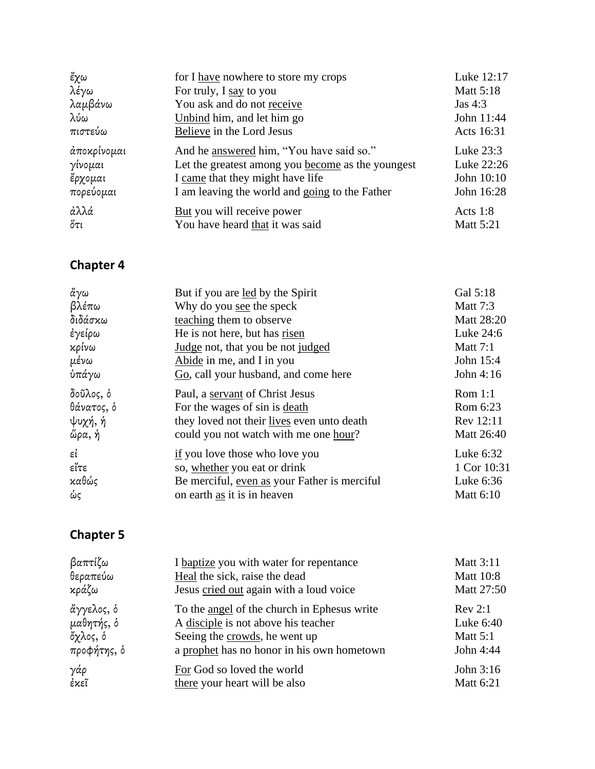| ἔχω         | for I have nowhere to store my crops              | Luke 12:17       |
|-------------|---------------------------------------------------|------------------|
| λέγω        | For truly, I say to you                           | <b>Matt 5:18</b> |
| λαμβάνω     | You ask and do not receive                        | Jas $4:3$        |
| λύω         | Unbind him, and let him go                        | John 11:44       |
| πιστεύω     | Believe in the Lord Jesus                         | Acts 16:31       |
| άποκρίνομαι | And he answered him, "You have said so."          | Luke $23:3$      |
| γίνομαι     | Let the greatest among you become as the youngest | Luke 22:26       |
| ἔρχομαι     | I came that they might have life                  | John 10:10       |
| πορεύομαι   | I am leaving the world and going to the Father    | John 16:28       |
| άλλά        | But you will receive power                        | Acts $1:8$       |
| ὄτι         | You have heard that it was said                   | <b>Matt 5:21</b> |

| ἄγω        | But if you are led by the Spirit             | Gal 5:18         |
|------------|----------------------------------------------|------------------|
| βλέπω      | Why do you see the speck                     | <b>Matt 7:3</b>  |
| διδάσκω    | teaching them to observe                     | Matt 28:20       |
| ἐγείρω     | He is not here, but has risen                | Luke 24:6        |
| κρίνω      | Judge not, that you be not judged            | <b>Matt 7:1</b>  |
| μένω       | Abide in me, and I in you                    | John 15:4        |
| ύπάγω      | Go, call your husband, and come here         | John 4:16        |
| δοῦλος, ὁ  | Paul, a servant of Christ Jesus              | Rom $1:1$        |
| θάνατος, δ | For the wages of sin is death                | Rom 6:23         |
| ψυχή, ἡ    | they loved not their lives even unto death   | Rev 12:11        |
| ὥρα, ή     | could you not watch with me one hour?        | Matt 26:40       |
| εi         | if you love those who love you               | Luke 6:32        |
| εἴτε       | so, whether you eat or drink                 | 1 Cor 10:31      |
| καθώς      | Be merciful, even as your Father is merciful | Luke 6:36        |
| ώς         | on earth as it is in heaven                  | <b>Matt 6:10</b> |
|            |                                              |                  |

| βαπτίζω     | I baptize you with water for repentance     | <b>Matt 3:11</b> |
|-------------|---------------------------------------------|------------------|
| θεραπεύω    | Heal the sick, raise the dead               | <b>Matt 10:8</b> |
| κράζω       | Jesus cried out again with a loud voice     | Matt 27:50       |
| ἄγγελος, ὁ  | To the angel of the church in Ephesus write | Rev 2:1          |
| μαθητής, δ  | A disciple is not above his teacher         | Luke 6:40        |
| ὄχλος, δ    | Seeing the crowds, he went up               | Matt $5:1$       |
| προφήτης, δ | a prophet has no honor in his own hometown  | John 4:44        |
| γάρ         | For God so loved the world                  | John 3:16        |
| ἐκεῖ        | there your heart will be also               | Matt 6:21        |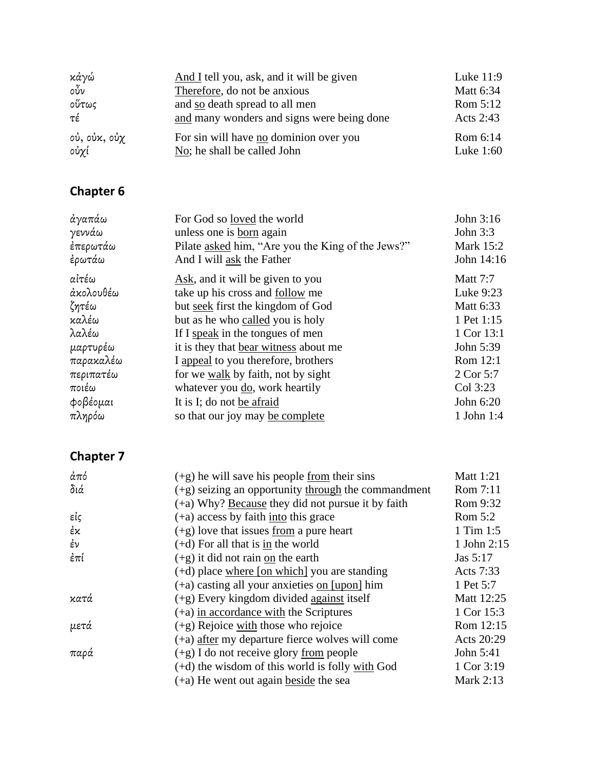| κάγώ         | And I tell you, ask, and it will be given  | Luke $11:9$      |
|--------------|--------------------------------------------|------------------|
| οὖν          | Therefore, do not be anxious               | <b>Matt 6:34</b> |
| οὕτως        | and so death spread to all men             | Rom 5:12         |
| τέ           | and many wonders and signs were being done | Acts 2:43        |
| οὐ, οὐκ, οὐχ | For sin will have no dominion over you     | Rom 6:14         |
| οὐχί         | No; he shall be called John                | Luke $1:60$      |

| ἀγαπάω    | For God so loved the world                        | John $3:16$      |
|-----------|---------------------------------------------------|------------------|
| γεννάω    | unless one is born again                          | John $3:3$       |
| ἐπερωτάω  | Pilate asked him, "Are you the King of the Jews?" | <b>Mark 15:2</b> |
| ἐρωτάω    | And I will ask the Father                         | John 14:16       |
| αἰτέω     | Ask, and it will be given to you                  | <b>Matt</b> 7:7  |
| άκολουθέω | take up his cross and follow me                   | Luke 9:23        |
| ζητέω     | but seek first the kingdom of God                 | Matt 6:33        |
| καλέω     | but as he who called you is holy                  | 1 Pet 1:15       |
| λαλέω     | If I speak in the tongues of men                  | 1 Cor 13:1       |
| μαρτυρέω  | it is they that bear witness about me             | John 5:39        |
| παρακαλέω | I appeal to you therefore, brothers               | Rom 12:1         |
| περιπατέω | for we walk by faith, not by sight                | 2 Cor 5:7        |
| ποιέω     | whatever you do, work heartily                    | Col 3:23         |
| φοβέομαι  | It is I; do not be afraid                         | John 6:20        |
| πληρόω    | so that our joy may be complete                   | 1 John $1:4$     |

| άπό  | $(+g)$ he will save his people from their sins        | Matt 1:21   |
|------|-------------------------------------------------------|-------------|
| διά  | $(+g)$ seizing an opportunity through the commandment | Rom 7:11    |
|      | (+a) Why? Because they did not pursue it by faith     | Rom 9:32    |
| εἰς  | $(+a)$ access by faith into this grace                | Rom 5:2     |
| ἐκ   | $(+g)$ love that issues from a pure heart             | 1 Tim 1:5   |
| έν   | $(+d)$ For all that is in the world                   | 1 John 2:15 |
| ἐπί  | $(+g)$ it did not rain on the earth                   | Jas 5:17    |
|      | $(+d)$ place where [on which] you are standing        | Acts 7:33   |
|      | $(+a)$ casting all your anxieties on $[upon]$ him     | 1 Pet 5:7   |
| κατά | $(+g)$ Every kingdom divided against itself           | Matt 12:25  |
|      | $(+a)$ in accordance with the Scriptures              | 1 Cor 15:3  |
| μετά | (+g) Rejoice with those who rejoice                   | Rom 12:15   |
|      | (+a) after my departure fierce wolves will come       | Acts 20:29  |
| παρά | $(+g)$ I do not receive glory from people             | John 5:41   |
|      | $(+d)$ the wisdom of this world is folly with God     | 1 Cor 3:19  |
|      | (+a) He went out again beside the sea                 | Mark 2:13   |
|      |                                                       |             |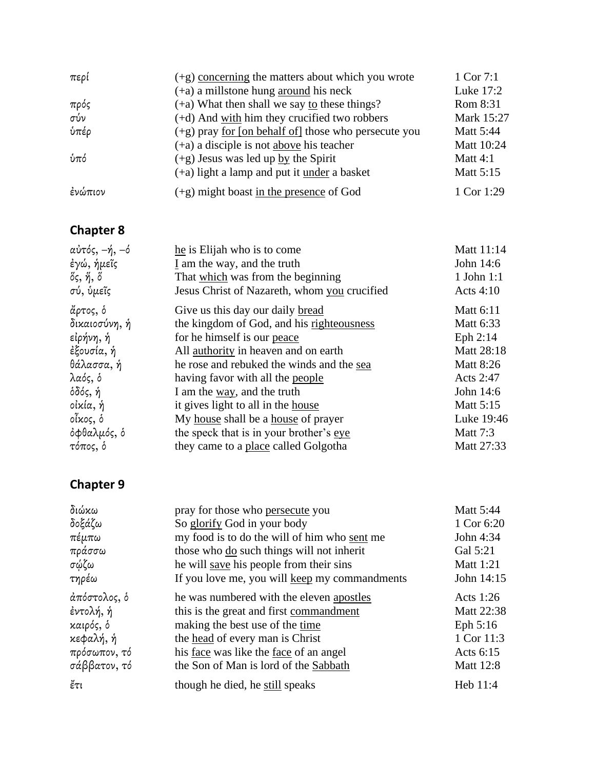| περί    | $(+g)$ concerning the matters about which you wrote            | 1 Cor 7:1        |
|---------|----------------------------------------------------------------|------------------|
|         | $(+a)$ a millstone hung around his neck                        | Luke 17:2        |
| πρός    | $(+a)$ What then shall we say to these things?                 | Rom 8:31         |
| σύν     | (+d) And with him they crucified two robbers                   | Mark 15:27       |
| ύπέρ    | $(+g)$ pray <u>for [on behalf of</u> ] those who persecute you | <b>Matt 5:44</b> |
|         | $(+a)$ a disciple is not above his teacher                     | Matt 10:24       |
| ύπό     | $(+g)$ Jesus was led up by the Spirit                          | Matt $4:1$       |
|         | (+a) light a lamp and put it under a basket                    | Matt 5:15        |
| ἐνώπιον | (+g) might boast in the presence of God                        | 1 Cor 1:29       |

| αὐτός, –ή, –ό | he is Elijah who is to come                  | Matt 11:14       |
|---------------|----------------------------------------------|------------------|
| ἐγώ, ἡμεῖς    | I am the way, and the truth                  | John 14:6        |
| ὄς, ἥ, ὅ      | That which was from the beginning            | $1$ John $1:1$   |
| σύ, ὑμεῖς     | Jesus Christ of Nazareth, whom you crucified | Acts $4:10$      |
| ἄρτος, ὁ      | Give us this day our daily bread             | Matt 6:11        |
| δικαιοσύνη, ή | the kingdom of God, and his righteousness    | Matt 6:33        |
| εἰρήνη, ἡ     | for he himself is our peace                  | Eph 2:14         |
| ἐξουσία, ἡ    | All authority in heaven and on earth         | Matt 28:18       |
| θάλασσα, ή    | he rose and rebuked the winds and the sea    | <b>Matt 8:26</b> |
| λαός, δ       | having favor with all the people             | Acts 2:47        |
| όδός, ή       | I am the way, and the truth                  | John 14:6        |
| οἰκία, ἡ      | it gives light to all in the house           | Matt 5:15        |
| οἶκος, ὁ      | My house shall be a house of prayer          | Luke 19:46       |
| όφθαλμός, δ   | the speck that is in your brother's eye      | <b>Matt 7:3</b>  |
| τόπος, δ      | they came to a place called Golgotha         | Matt 27:33       |
|               |                                              |                  |

| διώκω        | pray for those who persecute you                     | Matt 5:44        |
|--------------|------------------------------------------------------|------------------|
| δοξάζω       | So glorify God in your body                          | 1 Cor 6:20       |
| πέμπω        | my food is to do the will of him who sent me         | John 4:34        |
| πράσσω       | those who do such things will not inherit            | Gal 5:21         |
| σώζω         | he will save his people from their sins              | <b>Matt 1:21</b> |
| τηρέω        | If you love me, you will keep my commandments        | John 14:15       |
| άπόστολος, δ | he was numbered with the eleven apostles             | Acts $1:26$      |
| ἐντολή, ἡ    | this is the great and first commandment              | Matt 22:38       |
| καιρός, ὁ    | making the best use of the time                      | Eph $5:16$       |
| κεφαλή, ἡ    | the head of every man is Christ                      | 1 Cor 11:3       |
| πρόσωπον, τό | his <u>face</u> was like the <u>face</u> of an angel | Acts 6:15        |
| σάββατον, τό | the Son of Man is lord of the Sabbath                | <b>Matt 12:8</b> |
| ἔτι          | though he died, he still speaks                      | Heb 11:4         |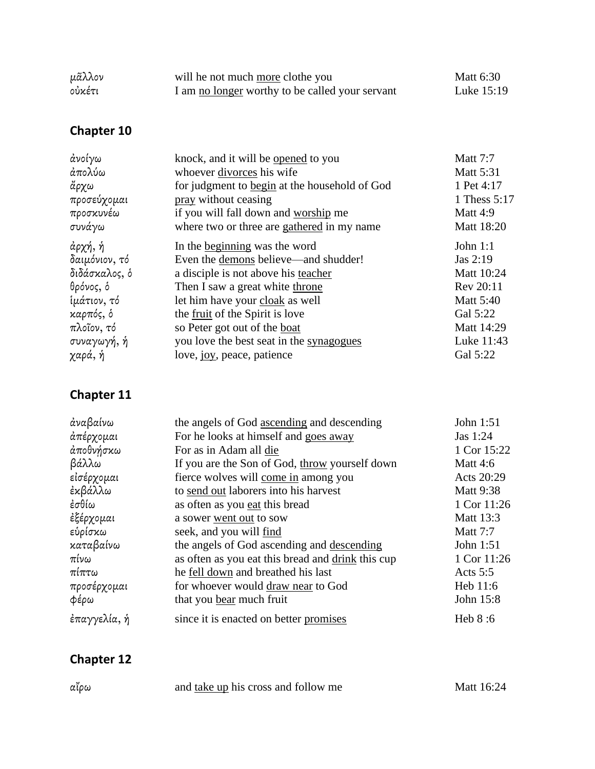| μᾶλλον | will he not much more clothe you                | Matt 6:30  |
|--------|-------------------------------------------------|------------|
| οὐκέτι | I am no longer worthy to be called your servant | Luke 15:19 |

| άνοίγω        | knock, and it will be opened to you           | <b>Matt 7:7</b>  |
|---------------|-----------------------------------------------|------------------|
| άπολύω        | whoever divorces his wife                     | <b>Matt 5:31</b> |
| ἄρχω          | for judgment to begin at the household of God | 1 Pet 4:17       |
| προσεύχομαι   | pray without ceasing                          | 1 Thess 5:17     |
| προσκυνέω     | if you will fall down and worship me          | Matt 4:9         |
| συνάγω        | where two or three are gathered in my name    | Matt 18:20       |
| άρχή, ή       | In the beginning was the word                 | John $1:1$       |
| δαιμόνιον, τό | Even the demons believe—and shudder!          | Jas 2:19         |
| διδάσκαλος, δ | a disciple is not above his teacher           | Matt 10:24       |
| θρόνος, δ     | Then I saw a great white throne               | Rev 20:11        |
| ίμάτιον, τό   | let him have your cloak as well               | <b>Matt 5:40</b> |
| καρπός, δ     | the <u>fruit</u> of the Spirit is love        | Gal 5:22         |
| πλοῖον, τό    | so Peter got out of the boat                  | Matt 14:29       |
| συναγωγή, ή   | you love the best seat in the synagogues      | Luke 11:43       |
| χαρά, ή       | love, joy, peace, patience                    | Gal 5:22         |

### **Chapter 11**

| the angels of God ascending and descending        | John 1:51        |
|---------------------------------------------------|------------------|
| For he looks at himself and goes away             | Jas 1:24         |
| For as in Adam all die                            | 1 Cor 15:22      |
| If you are the Son of God, throw yourself down    | <b>Matt 4:6</b>  |
| fierce wolves will come in among you              | Acts 20:29       |
| to send out laborers into his harvest             | <b>Matt 9:38</b> |
| as often as you eat this bread                    | 1 Cor 11:26      |
| a sower went out to sow                           | Matt 13:3        |
| seek, and you will find                           | <b>Matt 7:7</b>  |
| the angels of God ascending and descending        | John 1:51        |
| as often as you eat this bread and drink this cup | 1 Cor 11:26      |
| he fell down and breathed his last                | Acts $5:5$       |
| for whoever would draw near to God                | Heb 11:6         |
| that you bear much fruit                          | John 15:8        |
| since it is enacted on better promises            | Heb 8:6          |
|                                                   |                  |

| αΐρω | and take up his cross and follow me | Matt 16:24 |
|------|-------------------------------------|------------|
|------|-------------------------------------|------------|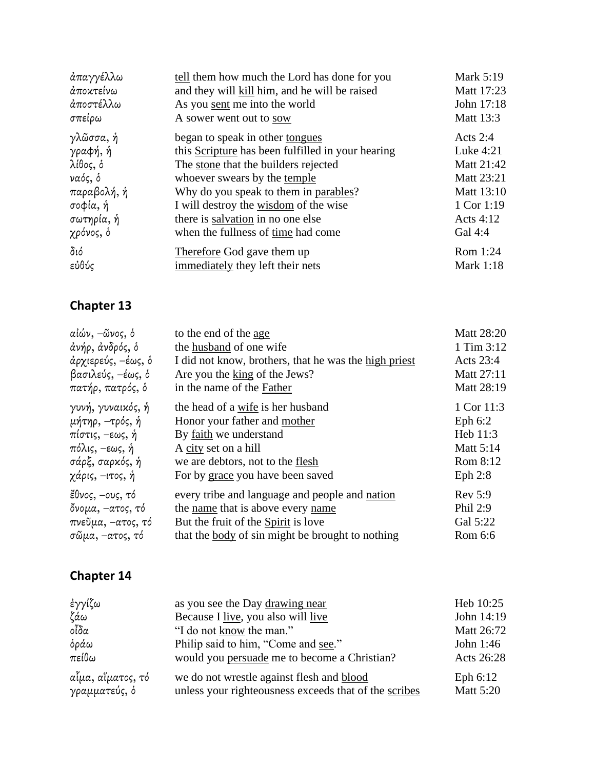| άπαγγέλλω   | tell them how much the Lord has done for you      | <b>Mark 5:19</b> |
|-------------|---------------------------------------------------|------------------|
| άποκτείνω   | and they will kill him, and he will be raised     | Matt 17:23       |
| άποστέλλω   | As you sent me into the world                     | John 17:18       |
| σπείρω      | A sower went out to sow                           | Matt 13:3        |
| γλῶσσα, ή   | began to speak in other tongues                   | Acts $2:4$       |
| γραφή, ή    | this Scripture has been fulfilled in your hearing | Luke 4:21        |
| λίθος, δ    | The stone that the builders rejected              | Matt 21:42       |
| ναός, δ     | whoever swears by the temple                      | Matt 23:21       |
| παραβολή, ή | Why do you speak to them in parables?             | Matt 13:10       |
| σοφία, ή    | I will destroy the wisdom of the wise             | 1 Cor 1:19       |
| σωτηρία, ή  | there is salvation in no one else                 | Acts 4:12        |
| χρόνος, δ   | when the fullness of time had come                | Gal 4:4          |
| διό         | Therefore God gave them up                        | Rom 1:24         |
| εὐθύς       | immediately they left their nets                  | <b>Mark 1:18</b> |

| αἰών, –ῶνος, δ     | to the end of the age                                   | Matt 28:20       |
|--------------------|---------------------------------------------------------|------------------|
| άνήρ, άνδρός, δ    | the husband of one wife                                 | 1 Tim 3:12       |
| άρχιερεύς, –έως, δ | I did not know, brothers, that he was the high priest   | Acts $23:4$      |
| βασιλεύς, –έως, δ  | Are you the king of the Jews?                           | Matt 27:11       |
| πατήρ, πατρός, δ   | in the name of the Father                               | Matt 28:19       |
| γυνή, γυναικός, ή  | the head of a wife is her husband                       | 1 Cor 11:3       |
| μήτηρ, –τρός, ή    | Honor your father and mother                            | Eph $6:2$        |
| πίστις, –εως, ή    | By faith we understand                                  | Heb 11:3         |
| πόλις, –εως, ή     | A city set on a hill                                    | <b>Matt 5:14</b> |
| σάρξ, σαρκός, ή    | we are debtors, not to the flesh                        | Rom 8:12         |
| χάρις, –ιτος, ή    | For by grace you have been saved                        | Eph $2:8$        |
| ἔθνος, –ους, τό    | every tribe and language and people and nation          | Rev 5:9          |
| ὄνομα, –ατος, τό   | the name that is above every name                       | Phil 2:9         |
| πνεῦμα, –ατος, τό  | But the fruit of the Spirit is love                     | Gal 5:22         |
| σῶμα, –ατος, τό    | that the <u>body</u> of sin might be brought to nothing | Rom 6:6          |

| ἐγγίζω            | as you see the Day drawing near                       | Heb 10:25        |
|-------------------|-------------------------------------------------------|------------------|
| ζάω               | Because I live, you also will live                    | John 14:19       |
| οἶδα              | "I do not know the man."                              | Matt 26:72       |
| δράω              | Philip said to him, "Come and see."                   | John $1:46$      |
| πείθω             | would you persuade me to become a Christian?          | Acts 26:28       |
| αἷμα, αἵματος, τό | we do not wrestle against flesh and blood             | Eph 6:12         |
| γραμματεύς, δ     | unless your righteousness exceeds that of the scribes | <b>Matt 5:20</b> |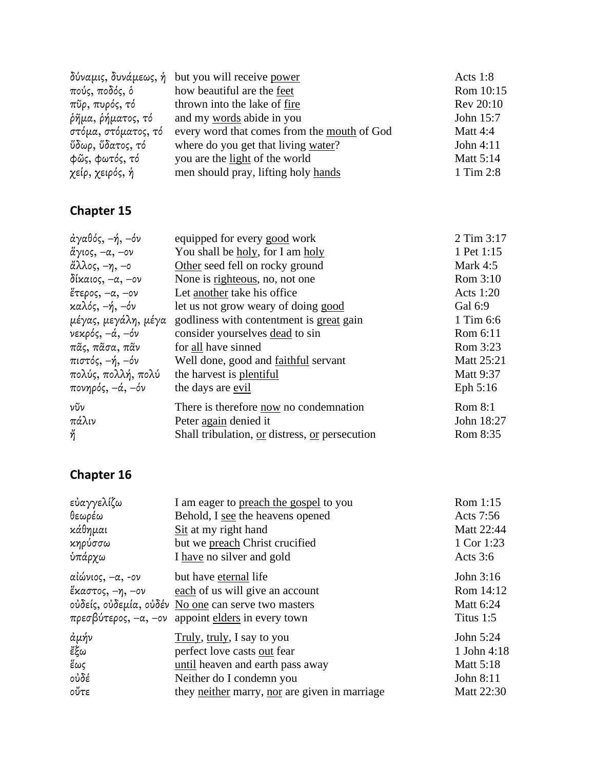|                         | δύναμις, δυνάμεως, ή but you will receive power | Acts $1:8$ |
|-------------------------|-------------------------------------------------|------------|
| πούς, ποδός, δ          | how beautiful are the feet                      | Rom 10:15  |
| πῦρ, πυρός, τό          | thrown into the lake of fire                    | Rev 20:10  |
| ρῆμα, ρήματος, τό       | and my words abide in you                       | John 15:7  |
| στόμα, στόματος, τό     | every word that comes from the mouth of God     | Matt 4:4   |
| <i>ὕδωρ, ὕδατος, τό</i> | where do you get that living water?             | John 4:11  |
| φῶς, φωτός, τό          | you are the light of the world                  | Matt 5:14  |
| χείρ, χειρός, ή         | men should pray, lifting holy hands             | 1 Tim 2:8  |

| άγαθός, –ή, –όν     | equipped for every good work                   | 2 Tim 3:17       |
|---------------------|------------------------------------------------|------------------|
| ἅγιος, −α, −ον      | You shall be holy, for I am holy               | 1 Pet 1:15       |
| άλλος, –η, –ο       | Other seed fell on rocky ground                | Mark $4:5$       |
| δίκαιος, –α, –ον    | None is righteous, no, not one                 | Rom 3:10         |
| ἕτερος, –α, –ον     | Let another take his office                    | Acts 1:20        |
| καλός, –ή, –όν      | let us not grow weary of doing good            | Gal 6:9          |
| μέγας, μεγάλη, μέγα | godliness with contentment is great gain       | 1 Tim 6:6        |
| νεκρός, –ά, –όν     | consider yourselves dead to sin                | Rom 6:11         |
| πᾶς, πᾶσα, πᾶν      | for all have sinned                            | Rom 3:23         |
| πιστός, –ή, –όν     | Well done, good and <u>faithful</u> servant    | Matt 25:21       |
| πολύς, πολλή, πολύ  | the harvest is plentiful                       | <b>Matt 9:37</b> |
| πονηρός, –ά, –όν    | the days are evil                              | Eph $5:16$       |
| νῦν                 | There is therefore now no condemnation         | Rom 8:1          |
| πάλιν               | Peter again denied it                          | John 18:27       |
| ή                   | Shall tribulation, or distress, or persecution | Rom 8:35         |
|                     |                                                |                  |

| εὐαγγελίζω                           | I am eager to preach the gospel to you                                                                                                                                             | Rom 1:15                                         |
|--------------------------------------|------------------------------------------------------------------------------------------------------------------------------------------------------------------------------------|--------------------------------------------------|
| θεωρέω                               | Behold, I see the heavens opened                                                                                                                                                   | Acts 7:56                                        |
| κάθημαι                              | Sit at my right hand                                                                                                                                                               | Matt 22:44                                       |
| κηρύσσω                              | but we preach Christ crucified                                                                                                                                                     | 1 Cor 1:23                                       |
| ύπάρχω                               | I have no silver and gold                                                                                                                                                          | Acts $3:6$                                       |
| αἰώνιος, –α, -ον<br>ἕκαστος, −η, −ον | but have eternal life<br>each of us will give an account<br>ούδείς, ούδεμία, ούδέν No one can serve two masters<br>πρεσβύτερος, $-\alpha$ , $-\alpha$ appoint elders in every town | John 3:16<br>Rom 14:12<br>Matt 6:24<br>Titus 1:5 |
| ἀμήν                                 | Truly, truly, I say to you                                                                                                                                                         | John 5:24                                        |
| కక్ట                                 | perfect love casts out fear                                                                                                                                                        | 1 John 4:18                                      |
| ἕως                                  | until heaven and earth pass away                                                                                                                                                   | <b>Matt 5:18</b>                                 |
| οὐδέ                                 | Neither do I condemn you                                                                                                                                                           | John 8:11                                        |
| οὔτε                                 | they neither marry, nor are given in marriage                                                                                                                                      | <b>Matt 22:30</b>                                |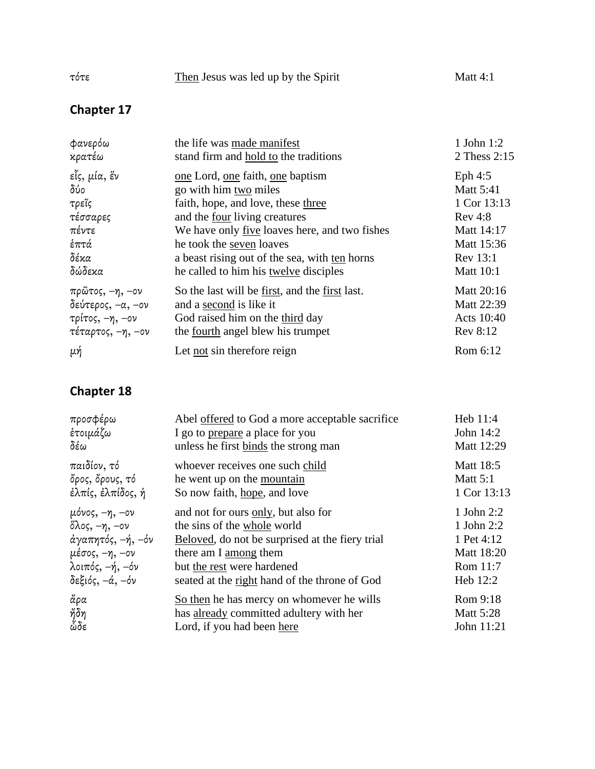| τότε | Then Jesus was led up by the Spirit | Matt $4:1$ |
|------|-------------------------------------|------------|
|      |                                     |            |

| φανερόω                           | the life was made manifest                     | 1 John 1:2       |
|-----------------------------------|------------------------------------------------|------------------|
| κρατέω                            | stand firm and hold to the traditions          | 2 Thess 2:15     |
| εἶς, μία, ἕν                      | one Lord, one faith, one baptism               | Eph $4:5$        |
| δύο                               | go with him two miles                          | <b>Matt 5:41</b> |
| τρεῖς                             | faith, hope, and love, these three             | 1 Cor 13:13      |
| τέσσαρες                          | and the four living creatures                  | Rev 4:8          |
| πέντε                             | We have only five loaves here, and two fishes  | Matt 14:17       |
| ἑπτά                              | he took the seven loaves                       | Matt 15:36       |
| δέκα                              | a beast rising out of the sea, with ten horns  | Rev 13:1         |
| δώδεκα                            | he called to him his twelve disciples          | <b>Matt 10:1</b> |
| πρῶτος, –η, –ον                   | So the last will be first, and the first last. | Matt 20:16       |
| δεύτερος, $-\alpha$ , $-\alpha$ ν | and a second is like it                        | Matt 22:39       |
| τρίτος, –η, –ον                   | God raised him on the third day                | Acts 10:40       |
| τέταρτος, –η, –ον                 | the <u>fourth</u> angel blew his trumpet       | Rev 8:12         |
| μή                                | Let not sin therefore reign                    | Rom 6:12         |

| προσφέρω                          | Abel offered to God a more acceptable sacrifice | Heb 11:4         |
|-----------------------------------|-------------------------------------------------|------------------|
| ἑτοιμάζω                          | I go to prepare a place for you                 | John 14:2        |
| δέω                               | unless he first binds the strong man            | Matt 12:29       |
| παιδίον, τό                       | whoever receives one such child                 | <b>Matt 18:5</b> |
| ὄρος, ὄρους, τό                   | he went up on the mountain                      | Matt $5:1$       |
| έλπίς, έλπίδος, ή                 | So now faith, hope, and love                    | 1 Cor 13:13      |
| $\mu$ όνος, $-\eta$ , $-\infty$ ν | and not for ours only, but also for             | 1 John 2:2       |
| ὄλος, $-\eta$ , $-\sigma\nu$      | the sins of the whole world                     | 1 John 2:2       |
| άγαπητός, -ή, -όν                 | Beloved, do not be surprised at the fiery trial | 1 Pet 4:12       |
| μέσος, –η, –ον                    | there am I among them                           | Matt 18:20       |
| λοιπός, –ή, –όν                   | but the rest were hardened                      | Rom 11:7         |
| δεξιός, $-\alpha$ , $-\delta\nu$  | seated at the right hand of the throne of God   | Heb 12:2         |
| άρα                               | So then he has mercy on whomever he wills       | Rom 9:18         |
| ήδη                               | has already committed adultery with her         | <b>Matt 5:28</b> |
| ὧδε                               | Lord, if you had been here                      | John 11:21       |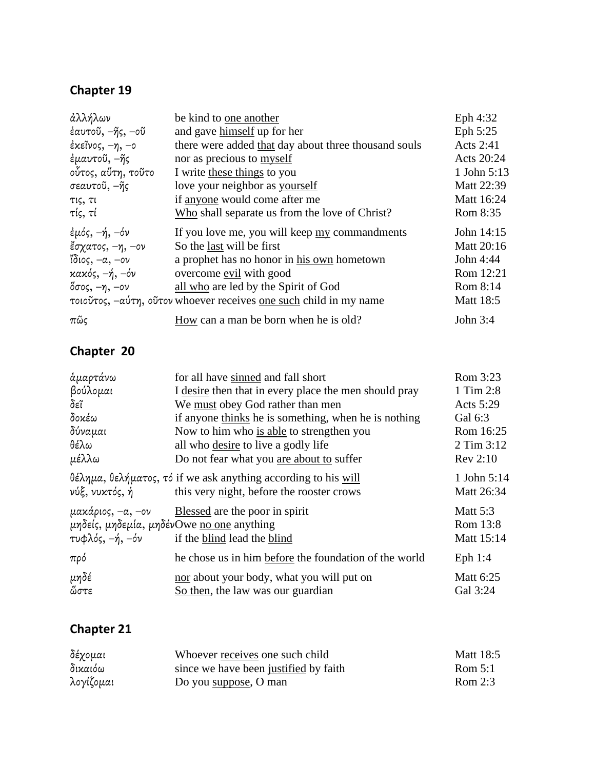| άλλήλων            | be kind to one another                                            | Eph 4:32         |
|--------------------|-------------------------------------------------------------------|------------------|
| έαυτοῦ, –ῆς, –οῦ   | and gave himself up for her                                       | Eph 5:25         |
| έκεῖνος, –η, –ο    | there were added that day about three thousand souls              | Acts 2:41        |
| έμαυτοῦ, –ῆς       | nor as precious to myself                                         | Acts 20:24       |
| οὗτος, αὕτη, τοῦτο | I write these things to you                                       | 1 John 5:13      |
| σεαυτοῦ, –ῆς       | love your neighbor as yourself                                    | Matt 22:39       |
| τις, τι            | if anyone would come after me                                     | Matt 16:24       |
| τίς, τί            | Who shall separate us from the love of Christ?                    | Rom 8:35         |
| έμός, –ή, –όν      | If you love me, you will keep <u>my</u> commandments              | John 14:15       |
| ἔσχατος, −η, −ον   | So the last will be first                                         | Matt 20:16       |
| ἴδιος, –α, –ον     | a prophet has no honor in his own hometown                        | John 4:44        |
| κακός, –ή, –όν     | overcome evil with good                                           | Rom 12:21        |
| όσος, –η, –ον      | all who are led by the Spirit of God                              | Rom 8:14         |
|                    | τοιοῦτος, –αύτη, οῦτον whoever receives one such child in my name | <b>Matt 18:5</b> |
| $\pi$ ῶς           | How can a man be born when he is old?                             | John $3:4$       |

### **Chapter 20**

| ἁμαρτάνω                                                | for all have sinned and fall short                                                                                            | Rom 3:23                                  |
|---------------------------------------------------------|-------------------------------------------------------------------------------------------------------------------------------|-------------------------------------------|
| βούλομαι                                                | I desire then that in every place the men should pray                                                                         | 1 Tim 2:8                                 |
| δεῖ                                                     | We must obey God rather than men                                                                                              | Acts 5:29                                 |
| δοκέω                                                   | if anyone thinks he is something, when he is nothing                                                                          | Gal 6:3                                   |
| δύναμαι                                                 | Now to him who is able to strengthen you                                                                                      | Rom 16:25                                 |
| θέλω                                                    | all who desire to live a godly life                                                                                           | 2 Tim 3:12                                |
| μέλλω                                                   | Do not fear what you are about to suffer                                                                                      | Rev 2:10                                  |
| νύξ, νυκτός, ή                                          | $\theta \in \lambda$ ημα, θελήματος, τό if we ask anything according to his will<br>this very night, before the rooster crows | 1 John 5:14<br>Matt 26:34                 |
| $\mu$ ακάριος, $-\alpha$ , $-\infty$<br>τυφλός, -ή, -όν | Blessed are the poor in spirit<br>μηδείς, μηδεμία, μηδένΟwe no one anything<br>if the blind lead the blind                    | <b>Matt 5:3</b><br>Rom 13:8<br>Matt 15:14 |
| πρό                                                     | he chose us in him before the foundation of the world                                                                         | Eph $1:4$                                 |
| μηδέ<br>ὥστε                                            | nor about your body, what you will put on<br>So then, the law was our guardian                                                | Matt 6:25<br>Gal 3:24                     |

| δέχομαι   | Whoever receives one such child       | Matt 18:5 |
|-----------|---------------------------------------|-----------|
| δικαιόω   | since we have been justified by faith | Rom $5:1$ |
| λογίζομαι | Do you suppose, O man                 | Rom $2:3$ |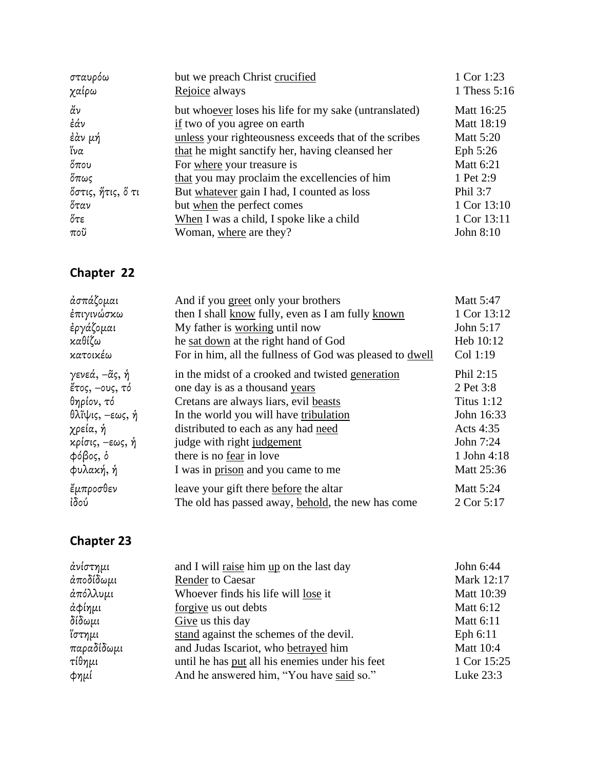| σταυρόω           | but we preach Christ crucified                        | 1 Cor 1:23       |
|-------------------|-------------------------------------------------------|------------------|
| χαίρω             | Rejoice always                                        | 1 Thess 5:16     |
| άν                | but whoever loses his life for my sake (untranslated) | Matt 16:25       |
| ἐάν               | if two of you agree on earth                          | Matt 18:19       |
| ἐὰν μή            | unless your righteousness exceeds that of the scribes | <b>Matt 5:20</b> |
| ἵνα               | that he might sanctify her, having cleansed her       | Eph 5:26         |
| $\delta$ που      | For where your treasure is                            | <b>Matt 6:21</b> |
| ὄπως              | that you may proclaim the excellencies of him         | 1 Pet 2:9        |
| ὄστις, ἥτις, ὅ τι | But whatever gain I had, I counted as loss            | Phil 3:7         |
| ὄταν              | but when the perfect comes                            | 1 Cor 13:10      |
| ὄτε               | When I was a child, I spoke like a child              | 1 Cor 13:11      |
| $πo\widetilde{v}$ | Woman, where are they?                                | John 8:10        |

| ἀσπάζομαι       | And if you greet only your brothers                      | Matt 5:47         |
|-----------------|----------------------------------------------------------|-------------------|
| ἐπιγινώσκω      | then I shall know fully, even as I am fully known        | 1 Cor 13:12       |
| ἐργάζομαι       | My father is working until now                           | John 5:17         |
| καθίζω          | he sat down at the right hand of God                     | Heb 10:12         |
| κατοικέω        | For in him, all the fullness of God was pleased to dwell | Col 1:19          |
| γενεά, –ᾶς, ἡ   | in the midst of a crooked and twisted generation         | Phil 2:15         |
| έτος, -ους, τό  | one day is as a thousand years                           | 2 Pet 3:8         |
| θηρίον, τό      | Cretans are always liars, evil beasts                    | <b>Titus 1:12</b> |
| θλῖψις, –εως, ή | In the world you will have tribulation                   | John 16:33        |
| χρεία, ή        | distributed to each as any had need                      | Acts 4:35         |
| κρίσις, –εως, ή | judge with right judgement                               | John 7:24         |
| φόβος, δ        | there is no fear in love                                 | 1 John 4:18       |
| φυλακή, ή       | I was in prison and you came to me                       | Matt 25:36        |
| ἔμπροσθεν       | leave your gift there before the altar                   | <b>Matt 5:24</b>  |
| ἰδού            | The old has passed away, behold, the new has come        | 2 Cor 5:17        |

| ἀνίστημι   | and I will raise him up on the last day         | John 6:44   |
|------------|-------------------------------------------------|-------------|
| άποδίδωμι  | <b>Render to Caesar</b>                         | Mark 12:17  |
| άπόλλυμι   | Whoever finds his life will lose it             | Matt 10:39  |
| ἀφίημι     | forgive us out debts                            | Matt 6:12   |
| δίδωμι     | Give us this day                                | Matt 6:11   |
| ἵστημι     | stand against the schemes of the devil.         | Eph 6:11    |
| παραδίδωμι | and Judas Iscariot, who betrayed him            | Matt 10:4   |
| τίθημι     | until he has put all his enemies under his feet | 1 Cor 15:25 |
| Φημί       | And he answered him, "You have said so."        | Luke 23:3   |
|            |                                                 |             |